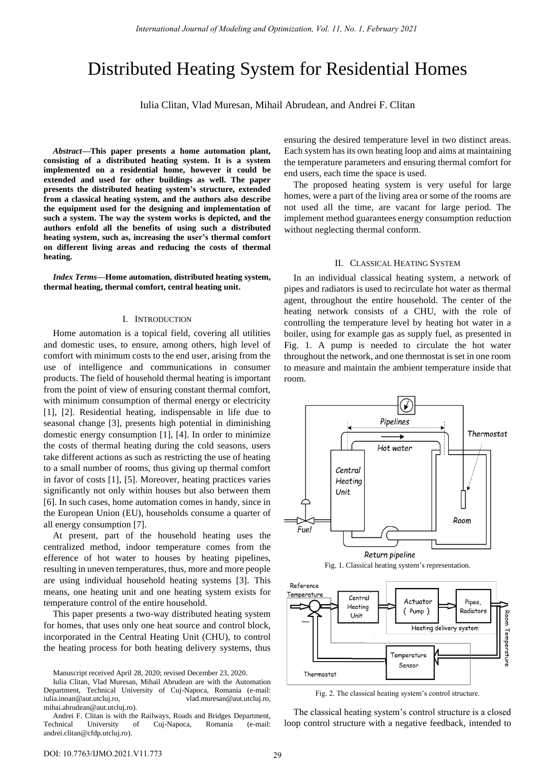# Distributed Heating System for Residential Homes

Iulia Clitan, Vlad Muresan, Mihail Abrudean, and Andrei F. Clitan

*Abstract***—This paper presents a home automation plant, consisting of a distributed heating system. It is a system implemented on a residential home, however it could be extended and used for other buildings as well. The paper presents the distributed heating system's structure, extended from a classical heating system, and the authors also describe the equipment used for the designing and implementation of such a system. The way the system works is depicted, and the authors enfold all the benefits of using such a distributed heating system, such as, increasing the user's thermal comfort on different living areas and reducing the costs of thermal heating.**

*Index Terms***—Home automation, distributed heating system, thermal heating, thermal comfort, central heating unit.** 

#### I. INTRODUCTION

Home automation is a topical field, covering all utilities and domestic uses, to ensure, among others, high level of comfort with minimum costs to the end user, arising from the use of intelligence and communications in consumer products. The field of household thermal heating is important from the point of view of ensuring constant thermal comfort, with minimum consumption of thermal energy or electricity [1], [2]. Residential heating, indispensable in life due to seasonal change [3], presents high potential in diminishing domestic energy consumption [1], [4]. In order to minimize the costs of thermal heating during the cold seasons, users take different actions as such as restricting the use of heating to a small number of rooms, thus giving up thermal comfort in favor of costs [1], [5]. Moreover, heating practices varies significantly not only within houses but also between them [6]. In such cases, home automation comes in handy, since in the European Union (EU), households consume a quarter of all energy consumption [7].

At present, part of the household heating uses the centralized method, indoor temperature comes from the efference of hot water to houses by heating pipelines, resulting in uneven temperatures, thus, more and more people are using individual household heating systems [3]. This means, one heating unit and one heating system exists for temperature control of the entire household.

This paper presents a two-way distributed heating system for homes, that uses only one heat source and control block, incorporated in the Central Heating Unit (CHU), to control the heating process for both heating delivery systems, thus ensuring the desired temperature level in two distinct areas. Each system has its own heating loop and aims at maintaining the temperature parameters and ensuring thermal comfort for end users, each time the space is used.

The proposed heating system is very useful for large homes, were a part of the living area or some of the rooms are not used all the time, are vacant for large period. The implement method guarantees energy consumption reduction without neglecting thermal conform.

## II. CLASSICAL HEATING SYSTEM

In an individual classical heating system, a network of pipes and radiators is used to recirculate hot water as thermal agent, throughout the entire household. The center of the heating network consists of a CHU, with the role of controlling the temperature level by heating hot water in a boiler, using for example gas as supply fuel, as presented in Fig. 1. A pump is needed to circulate the hot water throughout the network, and one thermostat is set in one room to measure and maintain the ambient temperature inside that room.



Fig. 1. Classical heating system's representation.



Fig. 2. The classical heating system's control structure.

The classical heating system's control structure is a closed loop control structure with a negative feedback, intended to

Manuscript received April 28, 2020; revised December 23, 2020.

Iulia Clitan, Vlad Muresan, Mihail Abrudean are with the Automation Department, Technical University of Cuj-Napoca, Romania (e-mail: iulia.inoan@aut.utcluj.ro, vlad.muresan@aut.utcluj.ro, mihai.abrudean@aut.utcluj.ro).

Andrei F. Clitan is with the Railways, Roads and Bridges Department, Technical University of Cuj-Napoca, Romania (e-mail: andrei.clitan@cfdp.utcluj.ro).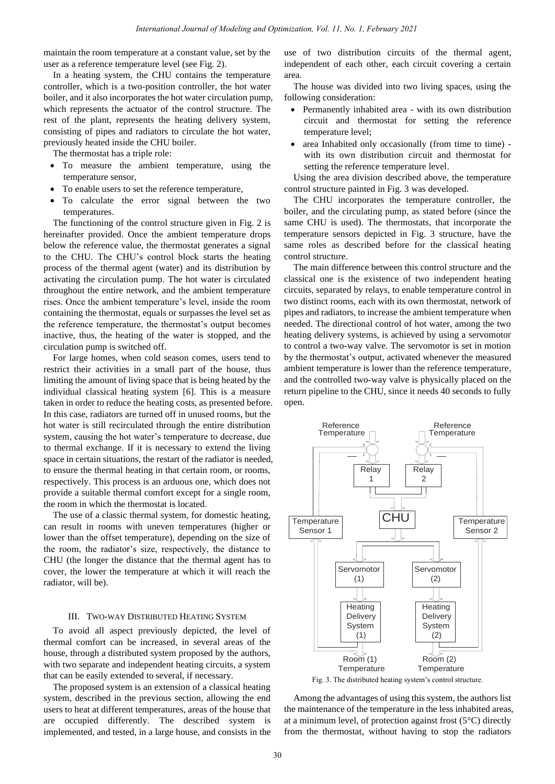maintain the room temperature at a constant value, set by the user as a reference temperature level (see Fig. 2).

In a heating system, the CHU contains the temperature controller, which is a two-position controller, the hot water boiler, and it also incorporates the hot water circulation pump, which represents the actuator of the control structure. The rest of the plant, represents the heating delivery system, consisting of pipes and radiators to circulate the hot water, previously heated inside the CHU boiler.

The thermostat has a triple role:

- To measure the ambient temperature, using the temperature sensor,
- To enable users to set the reference temperature,
- To calculate the error signal between the two temperatures.

The functioning of the control structure given in Fig. 2 is hereinafter provided. Once the ambient temperature drops below the reference value, the thermostat generates a signal to the CHU. The CHU's control block starts the heating process of the thermal agent (water) and its distribution by activating the circulation pump. The hot water is circulated throughout the entire network, and the ambient temperature rises. Once the ambient temperature's level, inside the room containing the thermostat, equals or surpasses the level set as the reference temperature, the thermostat's output becomes inactive, thus, the heating of the water is stopped, and the circulation pump is switched off.

For large homes, when cold season comes, users tend to restrict their activities in a small part of the house, thus limiting the amount of living space that is being heated by the individual classical heating system [6]. This is a measure taken in order to reduce the heating costs, as presented before. In this case, radiators are turned off in unused rooms, but the hot water is still recirculated through the entire distribution system, causing the hot water's temperature to decrease, due to thermal exchange. If it is necessary to extend the living space in certain situations, the restart of the radiator is needed, to ensure the thermal heating in that certain room, or rooms, respectively. This process is an arduous one, which does not provide a suitable thermal comfort except for a single room, the room in which the thermostat is located.

The use of a classic thermal system, for domestic heating, can result in rooms with uneven temperatures (higher or lower than the offset temperature), depending on the size of the room, the radiator's size, respectively, the distance to CHU (the longer the distance that the thermal agent has to cover, the lower the temperature at which it will reach the radiator, will be).

## III. TWO-WAY DISTRIBUTED HEATING SYSTEM

To avoid all aspect previously depicted, the level of thermal comfort can be increased, in several areas of the house, through a distributed system proposed by the authors, with two separate and independent heating circuits, a system that can be easily extended to several, if necessary.

The proposed system is an extension of a classical heating system, described in the previous section, allowing the end users to heat at different temperatures, areas of the house that are occupied differently. The described system is implemented, and tested, in a large house, and consists in the use of two distribution circuits of the thermal agent, independent of each other, each circuit covering a certain area.

The house was divided into two living spaces, using the following consideration:

- Permanently inhabited area with its own distribution circuit and thermostat for setting the reference temperature level;
- area Inhabited only occasionally (from time to time) with its own distribution circuit and thermostat for setting the reference temperature level.

Using the area division described above, the temperature control structure painted in Fig. 3 was developed.

The CHU incorporates the temperature controller, the boiler, and the circulating pump, as stated before (since the same CHU is used). The thermostats, that incorporate the temperature sensors depicted in Fig. 3 structure, have the same roles as described before for the classical heating control structure.

The main difference between this control structure and the classical one is the existence of two independent heating circuits, separated by relays, to enable temperature control in two distinct rooms, each with its own thermostat, network of pipes and radiators, to increase the ambient temperature when needed. The directional control of hot water, among the two heating delivery systems, is achieved by using a servomotor to control a two-way valve. The servomotor is set in motion by the thermostat's output, activated whenever the measured ambient temperature is lower than the reference temperature, and the controlled two-way valve is physically placed on the return pipeline to the CHU, since it needs 40 seconds to fully open.



Among the advantages of using this system, the authors list the maintenance of the temperature in the less inhabited areas, at a minimum level, of protection against frost  $(5^{\circ}C)$  directly from the thermostat, without having to stop the radiators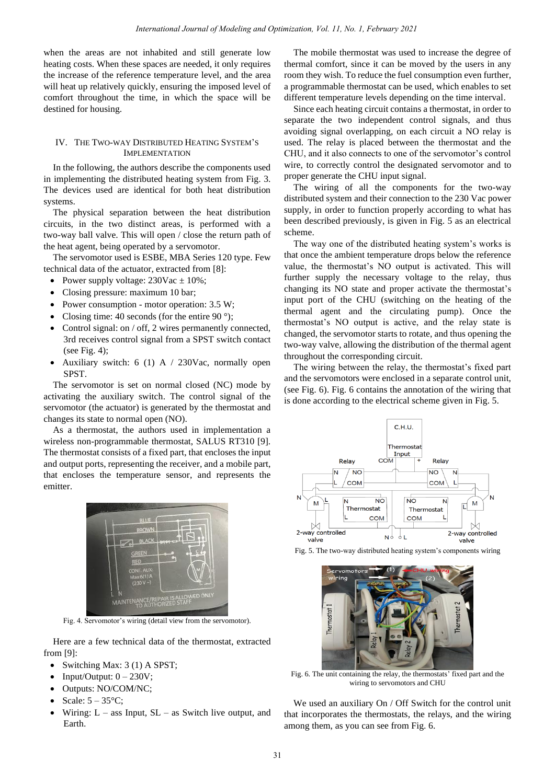when the areas are not inhabited and still generate low heating costs. When these spaces are needed, it only requires the increase of the reference temperature level, and the area will heat up relatively quickly, ensuring the imposed level of comfort throughout the time, in which the space will be destined for housing.

# IV. THE TWO-WAY DISTRIBUTED HEATING SYSTEM'S IMPLEMENTATION

In the following, the authors describe the components used in implementing the distributed heating system from Fig. 3. The devices used are identical for both heat distribution systems.

The physical separation between the heat distribution circuits, in the two distinct areas, is performed with a two-way ball valve. This will open / close the return path of the heat agent, being operated by a servomotor.

The servomotor used is ESBE, MBA Series 120 type. Few technical data of the actuator, extracted from [8]:

- Power supply voltage:  $230\text{Vac} \pm 10\%$ ;
- Closing pressure: maximum 10 bar;
- Power consumption motor operation: 3.5 W;
- Closing time: 40 seconds (for the entire 90 $\degree$ );
- Control signal: on / off, 2 wires permanently connected, 3rd receives control signal from a SPST switch contact (see Fig. 4);
- Auxiliary switch: 6 (1) A  $/$  230Vac, normally open SPST.

The servomotor is set on normal closed (NC) mode by activating the auxiliary switch. The control signal of the servomotor (the actuator) is generated by the thermostat and changes its state to normal open (NO).

As a thermostat, the authors used in implementation a wireless non-programmable thermostat, SALUS RT310 [9]. The thermostat consists of a fixed part, that encloses the input and output ports, representing the receiver, and a mobile part, that encloses the temperature sensor, and represents the emitter.



Fig. 4. Servomotor's wiring (detail view from the servomotor).

Here are a few technical data of the thermostat, extracted from [9]:

- Switching Max: 3 (1) A SPST;
- Input/Output:  $0 230V$ ;
- Outputs: NO/COM/NC;
- Scale:  $5 35^{\circ}$ C;
- Wiring:  $L -$  ass Input,  $SL -$  as Switch live output, and Earth.

The mobile thermostat was used to increase the degree of thermal comfort, since it can be moved by the users in any room they wish. To reduce the fuel consumption even further, a programmable thermostat can be used, which enables to set different temperature levels depending on the time interval.

Since each heating circuit contains a thermostat, in order to separate the two independent control signals, and thus avoiding signal overlapping, on each circuit a NO relay is used. The relay is placed between the thermostat and the CHU, and it also connects to one of the servomotor's control wire, to correctly control the designated servomotor and to proper generate the CHU input signal.

The wiring of all the components for the two-way distributed system and their connection to the 230 Vac power supply, in order to function properly according to what has been described previously, is given in Fig. 5 as an electrical scheme.

The way one of the distributed heating system's works is that once the ambient temperature drops below the reference value, the thermostat's NO output is activated. This will further supply the necessary voltage to the relay, thus changing its NO state and proper activate the thermostat's input port of the CHU (switching on the heating of the thermal agent and the circulating pump). Once the thermostat's NO output is active, and the relay state is changed, the servomotor starts to rotate, and thus opening the two-way valve, allowing the distribution of the thermal agent throughout the corresponding circuit.

The wiring between the relay, the thermostat's fixed part and the servomotors were enclosed in a separate control unit, (see Fig. 6). Fig. 6 contains the annotation of the wiring that is done according to the electrical scheme given in Fig. 5.



Fig. 5. The two-way distributed heating system's components wiring



Fig. 6. The unit containing the relay, the thermostats' fixed part and the wiring to servomotors and CHU

We used an auxiliary On / Off Switch for the control unit that incorporates the thermostats, the relays, and the wiring among them, as you can see from Fig. 6.